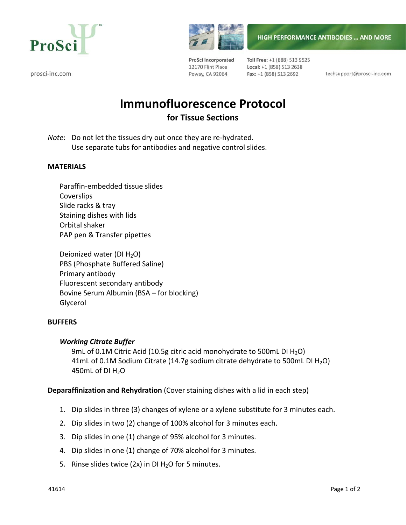

prosci-inc.com



ProSci Incorporated 12170 Flint Place Poway, CA 92064

Toll Free: +1 (888) 513 9525 Local: +1 (858) 513 2638 Fax: +1 (858) 513 2692

techsupport@prosci-inc.com

**HIGH PERFORMANCE ANTIBODIES ... AND MORE** 

# **Immunofluorescence Protocol for Tissue Sections**

*Note*: Do not let the tissues dry out once they are re-hydrated. Use separate tubs for antibodies and negative control slides.

## **MATERIALS**

Paraffin‐embedded tissue slides **Coverslips** Slide racks & tray Staining dishes with lids Orbital shaker PAP pen & Transfer pipettes

Deionized water (DI  $H_2O$ ) PBS (Phosphate Buffered Saline) Primary antibody Fluorescent secondary antibody Bovine Serum Albumin (BSA – for blocking) Glycerol

### **BUFFERS**

# *Working Citrate Buffer*

9mL of 0.1M Citric Acid (10.5g citric acid monohydrate to 500mL DI  $H_2O$ ) 41mL of 0.1M Sodium Citrate (14.7g sodium citrate dehydrate to 500mL DI  $H_2O$ ) 450mL of DI $H_2O$ 

# **Deparaffinization and Rehydration** (Cover staining dishes with a lid in each step)

- 1. Dip slides in three (3) changes of xylene or a xylene substitute for 3 minutes each.
- 2. Dip slides in two (2) change of 100% alcohol for 3 minutes each.
- 3. Dip slides in one (1) change of 95% alcohol for 3 minutes.
- 4. Dip slides in one (1) change of 70% alcohol for 3 minutes.
- 5. Rinse slides twice (2x) in DI  $H<sub>2</sub>O$  for 5 minutes.